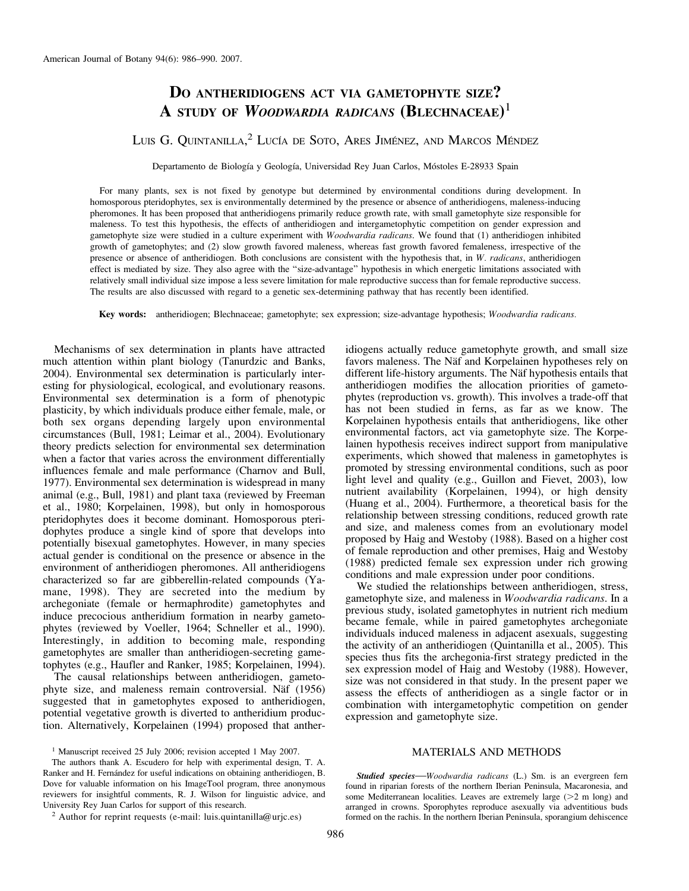# DO ANTHERIDIOGENS ACT VIA GAMETOPHYTE SIZE? A STUDY OF WOODWARDIA RADICANS  $(\mathbf{B}_{\text{LECHNACEAE}})^1$

# LUIS G. QUINTANILLA,<sup>2</sup> LUCÍA DE SOTO, ARES JIMÉNEZ, AND MARCOS MÉNDEZ

Departamento de Biología y Geología, Universidad Rey Juan Carlos, Móstoles E-28933 Spain

For many plants, sex is not fixed by genotype but determined by environmental conditions during development. In homosporous pteridophytes, sex is environmentally determined by the presence or absence of antheridiogens, maleness-inducing pheromones. It has been proposed that antheridiogens primarily reduce growth rate, with small gametophyte size responsible for maleness. To test this hypothesis, the effects of antheridiogen and intergametophytic competition on gender expression and gametophyte size were studied in a culture experiment with Woodwardia radicans. We found that (1) antheridiogen inhibited growth of gametophytes; and (2) slow growth favored maleness, whereas fast growth favored femaleness, irrespective of the presence or absence of antheridiogen. Both conclusions are consistent with the hypothesis that, in W. radicans, antheridiogen effect is mediated by size. They also agree with the ''size-advantage'' hypothesis in which energetic limitations associated with relatively small individual size impose a less severe limitation for male reproductive success than for female reproductive success. The results are also discussed with regard to a genetic sex-determining pathway that has recently been identified.

Key words: antheridiogen; Blechnaceae; gametophyte; sex expression; size-advantage hypothesis; Woodwardia radicans.

Mechanisms of sex determination in plants have attracted much attention within plant biology (Tanurdzic and Banks, 2004). Environmental sex determination is particularly interesting for physiological, ecological, and evolutionary reasons. Environmental sex determination is a form of phenotypic plasticity, by which individuals produce either female, male, or both sex organs depending largely upon environmental circumstances (Bull, 1981; Leimar et al., 2004). Evolutionary theory predicts selection for environmental sex determination when a factor that varies across the environment differentially influences female and male performance (Charnov and Bull, 1977). Environmental sex determination is widespread in many animal (e.g., Bull, 1981) and plant taxa (reviewed by Freeman et al., 1980; Korpelainen, 1998), but only in homosporous pteridophytes does it become dominant. Homosporous pteridophytes produce a single kind of spore that develops into potentially bisexual gametophytes. However, in many species actual gender is conditional on the presence or absence in the environment of antheridiogen pheromones. All antheridiogens characterized so far are gibberellin-related compounds (Yamane, 1998). They are secreted into the medium by archegoniate (female or hermaphrodite) gametophytes and induce precocious antheridium formation in nearby gametophytes (reviewed by Voeller, 1964; Schneller et al., 1990). Interestingly, in addition to becoming male, responding gametophytes are smaller than antheridiogen-secreting gametophytes (e.g., Haufler and Ranker, 1985; Korpelainen, 1994).

The causal relationships between antheridiogen, gametophyte size, and maleness remain controversial. Näf (1956) suggested that in gametophytes exposed to antheridiogen, potential vegetative growth is diverted to antheridium production. Alternatively, Korpelainen (1994) proposed that anther-

<sup>1</sup> Manuscript received 25 July 2006; revision accepted 1 May 2007.

<sup>2</sup> Author for reprint requests (e-mail: luis.quintanilla@urjc.es)

idiogens actually reduce gametophyte growth, and small size favors maleness. The Näf and Korpelainen hypotheses rely on different life-history arguments. The Näf hypothesis entails that antheridiogen modifies the allocation priorities of gametophytes (reproduction vs. growth). This involves a trade-off that has not been studied in ferns, as far as we know. The Korpelainen hypothesis entails that antheridiogens, like other environmental factors, act via gametophyte size. The Korpelainen hypothesis receives indirect support from manipulative experiments, which showed that maleness in gametophytes is promoted by stressing environmental conditions, such as poor light level and quality (e.g., Guillon and Fievet, 2003), low nutrient availability (Korpelainen, 1994), or high density (Huang et al., 2004). Furthermore, a theoretical basis for the relationship between stressing conditions, reduced growth rate and size, and maleness comes from an evolutionary model proposed by Haig and Westoby (1988). Based on a higher cost of female reproduction and other premises, Haig and Westoby (1988) predicted female sex expression under rich growing conditions and male expression under poor conditions.

We studied the relationships between antheridiogen, stress, gametophyte size, and maleness in Woodwardia radicans. In a previous study, isolated gametophytes in nutrient rich medium became female, while in paired gametophytes archegoniate individuals induced maleness in adjacent asexuals, suggesting the activity of an antheridiogen (Quintanilla et al., 2005). This species thus fits the archegonia-first strategy predicted in the sex expression model of Haig and Westoby (1988). However, size was not considered in that study. In the present paper we assess the effects of antheridiogen as a single factor or in combination with intergametophytic competition on gender expression and gametophyte size.

## MATERIALS AND METHODS

Studied species—Woodwardia radicans (L.) Sm. is an evergreen fern found in riparian forests of the northern Iberian Peninsula, Macaronesia, and some Mediterranean localities. Leaves are extremely large  $(>= 2 \text{ m long})$  and arranged in crowns. Sporophytes reproduce asexually via adventitious buds formed on the rachis. In the northern Iberian Peninsula, sporangium dehiscence

The authors thank A. Escudero for help with experimental design, T. A. Ranker and H. Fernández for useful indications on obtaining antheridiogen, B. Dove for valuable information on his ImageTool program, three anonymous reviewers for insightful comments, R. J. Wilson for linguistic advice, and University Rey Juan Carlos for support of this research.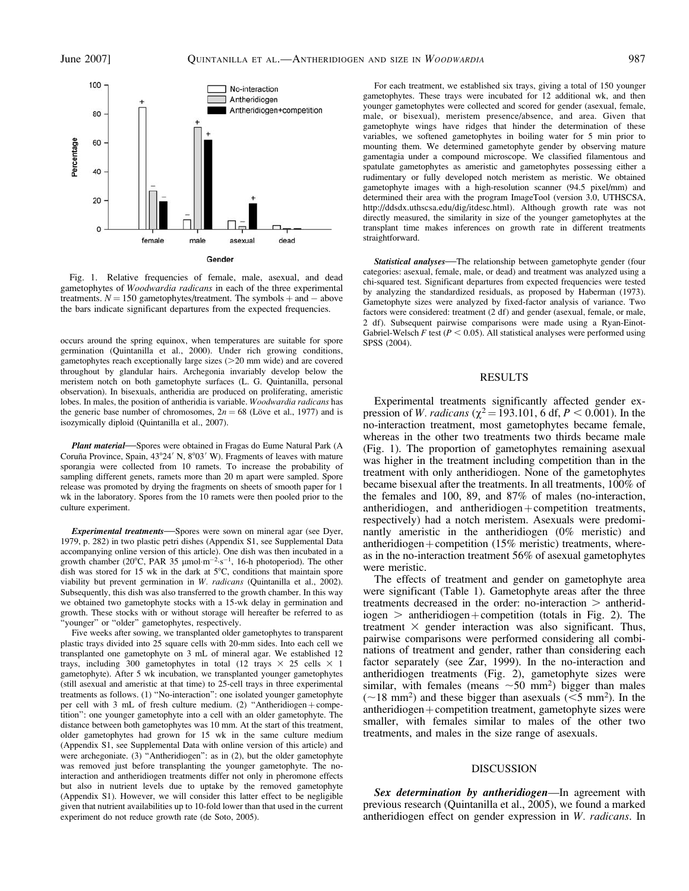

Fig. 1. Relative frequencies of female, male, asexual, and dead gametophytes of Woodwardia radicans in each of the three experimental treatments.  $N = 150$  gametophytes/treatment. The symbols  $+$  and  $-$  above the bars indicate significant departures from the expected frequencies.

occurs around the spring equinox, when temperatures are suitable for spore germination (Quintanilla et al., 2000). Under rich growing conditions, gametophytes reach exceptionally large sizes  $(>=20$  mm wide) and are covered throughout by glandular hairs. Archegonia invariably develop below the meristem notch on both gametophyte surfaces (L. G. Quintanilla, personal observation). In bisexuals, antheridia are produced on proliferating, ameristic lobes. In males, the position of antheridia is variable. Woodwardia radicans has the generic base number of chromosomes,  $2n = 68$  (Löve et al., 1977) and is isozymically diploid (Quintanilla et al., 2007).

Plant material—Spores were obtained in Fragas do Eume Natural Park (A Coruña Province, Spain, 43°24' N, 8°03' W). Fragments of leaves with mature sporangia were collected from 10 ramets. To increase the probability of sampling different genets, ramets more than 20 m apart were sampled. Spore release was promoted by drying the fragments on sheets of smooth paper for 1 wk in the laboratory. Spores from the 10 ramets were then pooled prior to the culture experiment.

Experimental treatments—Spores were sown on mineral agar (see Dyer, 1979, p. 282) in two plastic petri dishes (Appendix S1, see Supplemental Data accompanying online version of this article). One dish was then incubated in a growth chamber (20 $^{\circ}$ C, PAR 35 µmol·m<sup>-2</sup>·s<sup>-1</sup>, 16-h photoperiod). The other dish was stored for 15 wk in the dark at  $5^{\circ}$ C, conditions that maintain spore viability but prevent germination in W. radicans (Quintanilla et al., 2002). Subsequently, this dish was also transferred to the growth chamber. In this way we obtained two gametophyte stocks with a 15-wk delay in germination and growth. These stocks with or without storage will hereafter be referred to as 'younger" or "older" gametophytes, respectively.

Five weeks after sowing, we transplanted older gametophytes to transparent plastic trays divided into 25 square cells with 20-mm sides. Into each cell we transplanted one gametophyte on 3 mL of mineral agar. We established 12 trays, including 300 gametophytes in total (12 trays  $\times$  25 cells  $\times$  1 gametophyte). After 5 wk incubation, we transplanted younger gametophytes (still asexual and ameristic at that time) to 25-cell trays in three experimental treatments as follows. (1) ''No-interaction'': one isolated younger gametophyte per cell with 3 mL of fresh culture medium. (2) "Antheridiogen  $+$  competition'': one younger gametophyte into a cell with an older gametophyte. The distance between both gametophytes was 10 mm. At the start of this treatment, older gametophytes had grown for 15 wk in the same culture medium (Appendix S1, see Supplemental Data with online version of this article) and were archegoniate. (3) "Antheridiogen": as in (2), but the older gametophyte was removed just before transplanting the younger gametophyte. The nointeraction and antheridiogen treatments differ not only in pheromone effects but also in nutrient levels due to uptake by the removed gametophyte (Appendix S1). However, we will consider this latter effect to be negligible given that nutrient availabilities up to 10-fold lower than that used in the current experiment do not reduce growth rate (de Soto, 2005).

For each treatment, we established six trays, giving a total of 150 younger gametophytes. These trays were incubated for 12 additional wk, and then younger gametophytes were collected and scored for gender (asexual, female, male, or bisexual), meristem presence/absence, and area. Given that gametophyte wings have ridges that hinder the determination of these variables, we softened gametophytes in boiling water for 5 min prior to mounting them. We determined gametophyte gender by observing mature gamentagia under a compound microscope. We classified filamentous and spatulate gametophytes as ameristic and gametophytes possessing either a rudimentary or fully developed notch meristem as meristic. We obtained gametophyte images with a high-resolution scanner (94.5 pixel/mm) and determined their area with the program ImageTool (version 3.0, UTHSCSA, http://ddsdx.uthscsa.edu/dig/itdesc.html). Although growth rate was not directly measured, the similarity in size of the younger gametophytes at the transplant time makes inferences on growth rate in different treatments straightforward.

Statistical analyses—The relationship between gametophyte gender (four categories: asexual, female, male, or dead) and treatment was analyzed using a chi-squared test. Significant departures from expected frequencies were tested by analyzing the standardized residuals, as proposed by Haberman (1973). Gametophyte sizes were analyzed by fixed-factor analysis of variance. Two factors were considered: treatment (2 df) and gender (asexual, female, or male, 2 df). Subsequent pairwise comparisons were made using a Ryan-Einot-Gabriel-Welsch F test ( $P < 0.05$ ). All statistical analyses were performed using SPSS (2004).

# RESULTS

Experimental treatments significantly affected gender expression of *W. radicans* ( $\chi^2$  = 193.101, 6 df, *P* < 0.001). In the no-interaction treatment, most gametophytes became female, whereas in the other two treatments two thirds became male (Fig. 1). The proportion of gametophytes remaining asexual was higher in the treatment including competition than in the treatment with only antheridiogen. None of the gametophytes became bisexual after the treatments. In all treatments, 100% of the females and 100, 89, and 87% of males (no-interaction, antheridiogen, and antheridiogen+competition treatments, respectively) had a notch meristem. Asexuals were predominantly ameristic in the antheridiogen (0% meristic) and antheridiogen + competition (15% meristic) treatments, whereas in the no-interaction treatment 56% of asexual gametophytes were meristic.

The effects of treatment and gender on gametophyte area were significant (Table 1). Gametophyte areas after the three treatments decreased in the order: no-interaction  $>$  antherid $i<sub>1</sub> \text{i}<sub>2</sub>$  antheridiogen + competition (totals in Fig. 2). The treatment  $\times$  gender interaction was also significant. Thus, pairwise comparisons were performed considering all combinations of treatment and gender, rather than considering each factor separately (see Zar, 1999). In the no-interaction and antheridiogen treatments (Fig. 2), gametophyte sizes were similar, with females (means  $\sim 50$  mm<sup>2</sup>) bigger than males  $(\sim 18 \text{ mm}^2)$  and these bigger than asexuals ( $\leq 5 \text{ mm}^2$ ). In the  $antheridiogen + competition treatment, gametophyte sizes were$ smaller, with females similar to males of the other two treatments, and males in the size range of asexuals.

### DISCUSSION

Sex determination by antheridiogen-In agreement with previous research (Quintanilla et al., 2005), we found a marked antheridiogen effect on gender expression in W. radicans. In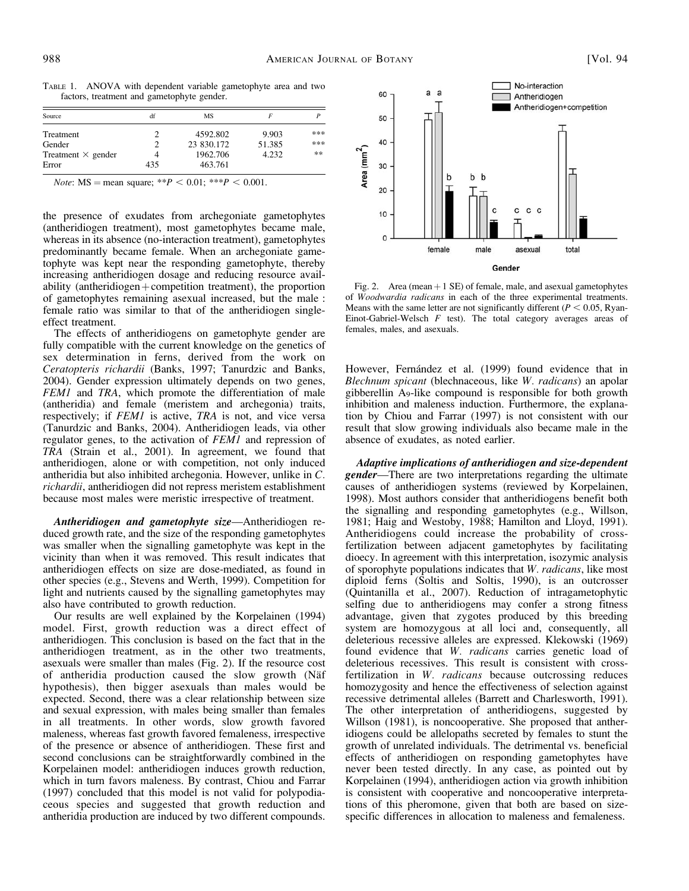TABLE 1. ANOVA with dependent variable gametophyte area and two factors, treatment and gametophyte gender.

| Source                    | df  | MS         |        |     |
|---------------------------|-----|------------|--------|-----|
| Treatment                 |     | 4592.802   | 9.903  | *** |
| Gender                    |     | 23 830.172 | 51.385 | *** |
| Treatment $\times$ gender | 4   | 1962.706   | 4.232  | **  |
| Error                     | 435 | 463.761    |        |     |

*Note*:  $MS = mean square; **P < 0.01; ***P < 0.001$ .

the presence of exudates from archegoniate gametophytes (antheridiogen treatment), most gametophytes became male, whereas in its absence (no-interaction treatment), gametophytes predominantly became female. When an archegoniate gametophyte was kept near the responding gametophyte, thereby increasing antheridiogen dosage and reducing resource availability (antheridiogen  $+$  competition treatment), the proportion of gametophytes remaining asexual increased, but the male : female ratio was similar to that of the antheridiogen singleeffect treatment.

The effects of antheridiogens on gametophyte gender are fully compatible with the current knowledge on the genetics of sex determination in ferns, derived from the work on Ceratopteris richardii (Banks, 1997; Tanurdzic and Banks, 2004). Gender expression ultimately depends on two genes, FEM1 and TRA, which promote the differentiation of male (antheridia) and female (meristem and archegonia) traits, respectively; if FEM1 is active, TRA is not, and vice versa (Tanurdzic and Banks, 2004). Antheridiogen leads, via other regulator genes, to the activation of FEM1 and repression of TRA (Strain et al., 2001). In agreement, we found that antheridiogen, alone or with competition, not only induced antheridia but also inhibited archegonia. However, unlike in C. richardii, antheridiogen did not repress meristem establishment because most males were meristic irrespective of treatment.

Antheridiogen and gametophyte size—Antheridiogen reduced growth rate, and the size of the responding gametophytes was smaller when the signalling gametophyte was kept in the vicinity than when it was removed. This result indicates that antheridiogen effects on size are dose-mediated, as found in other species (e.g., Stevens and Werth, 1999). Competition for light and nutrients caused by the signalling gametophytes may also have contributed to growth reduction.

Our results are well explained by the Korpelainen (1994) model. First, growth reduction was a direct effect of antheridiogen. This conclusion is based on the fact that in the antheridiogen treatment, as in the other two treatments, asexuals were smaller than males (Fig. 2). If the resource cost of antheridia production caused the slow growth (Näf hypothesis), then bigger asexuals than males would be expected. Second, there was a clear relationship between size and sexual expression, with males being smaller than females in all treatments. In other words, slow growth favored maleness, whereas fast growth favored femaleness, irrespective of the presence or absence of antheridiogen. These first and second conclusions can be straightforwardly combined in the Korpelainen model: antheridiogen induces growth reduction, which in turn favors maleness. By contrast, Chiou and Farrar (1997) concluded that this model is not valid for polypodiaceous species and suggested that growth reduction and antheridia production are induced by two different compounds.



Fig. 2. Area (mean  $+1$  SE) of female, male, and asexual gametophytes of Woodwardia radicans in each of the three experimental treatments. Means with the same letter are not significantly different ( $P < 0.05$ , Ryan-Einot-Gabriel-Welsch  $F$  test). The total category averages areas of females, males, and asexuals.

However, Fernández et al. (1999) found evidence that in Blechnum spicant (blechnaceous, like W. radicans) an apolar gibberellin A9-like compound is responsible for both growth inhibition and maleness induction. Furthermore, the explanation by Chiou and Farrar (1997) is not consistent with our result that slow growing individuals also became male in the absence of exudates, as noted earlier.

Adaptive implications of antheridiogen and size-dependent **gender—There** are two interpretations regarding the ultimate causes of antheridiogen systems (reviewed by Korpelainen, 1998). Most authors consider that antheridiogens benefit both the signalling and responding gametophytes (e.g., Willson, 1981; Haig and Westoby, 1988; Hamilton and Lloyd, 1991). Antheridiogens could increase the probability of crossfertilization between adjacent gametophytes by facilitating dioecy. In agreement with this interpretation, isozymic analysis of sporophyte populations indicates that W. radicans, like most diploid ferns (Soltis and Soltis, 1990), is an outcrosser (Quintanilla et al., 2007). Reduction of intragametophytic selfing due to antheridiogens may confer a strong fitness advantage, given that zygotes produced by this breeding system are homozygous at all loci and, consequently, all deleterious recessive alleles are expressed. Klekowski (1969) found evidence that W. radicans carries genetic load of deleterious recessives. This result is consistent with crossfertilization in W. radicans because outcrossing reduces homozygosity and hence the effectiveness of selection against recessive detrimental alleles (Barrett and Charlesworth, 1991). The other interpretation of antheridiogens, suggested by Willson (1981), is noncooperative. She proposed that antheridiogens could be allelopaths secreted by females to stunt the growth of unrelated individuals. The detrimental vs. beneficial effects of antheridiogen on responding gametophytes have never been tested directly. In any case, as pointed out by Korpelainen (1994), antheridiogen action via growth inhibition is consistent with cooperative and noncooperative interpretations of this pheromone, given that both are based on sizespecific differences in allocation to maleness and femaleness.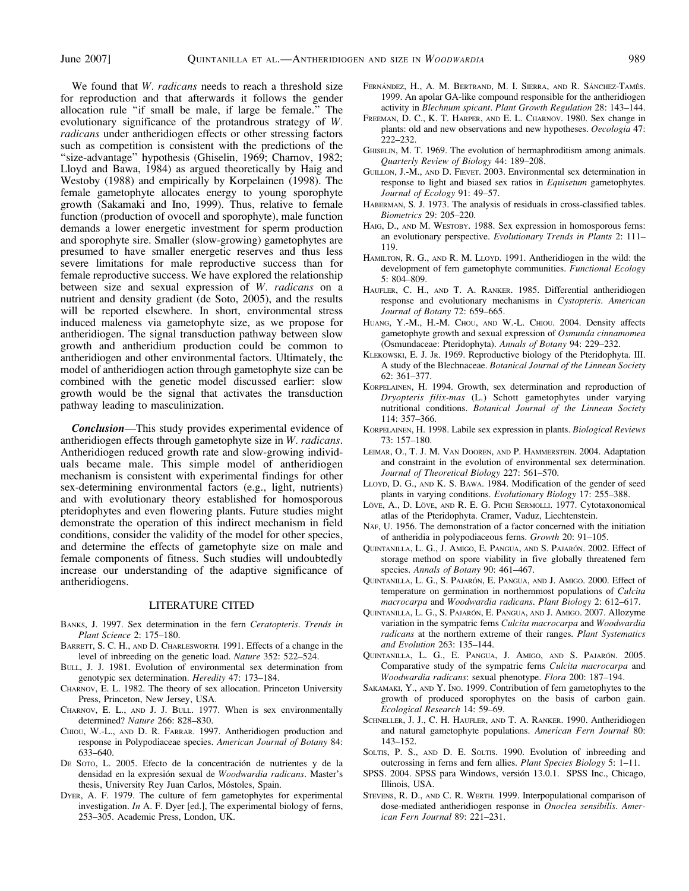We found that W. radicans needs to reach a threshold size for reproduction and that afterwards it follows the gender allocation rule ''if small be male, if large be female.'' The evolutionary significance of the protandrous strategy of W. radicans under antheridiogen effects or other stressing factors such as competition is consistent with the predictions of the "size-advantage" hypothesis (Ghiselin, 1969; Charnov, 1982; Lloyd and Bawa, 1984) as argued theoretically by Haig and Westoby (1988) and empirically by Korpelainen (1998). The female gametophyte allocates energy to young sporophyte growth (Sakamaki and Ino, 1999). Thus, relative to female function (production of ovocell and sporophyte), male function demands a lower energetic investment for sperm production and sporophyte sire. Smaller (slow-growing) gametophytes are presumed to have smaller energetic reserves and thus less severe limitations for male reproductive success than for female reproductive success. We have explored the relationship between size and sexual expression of W. *radicans* on a nutrient and density gradient (de Soto, 2005), and the results will be reported elsewhere. In short, environmental stress induced maleness via gametophyte size, as we propose for antheridiogen. The signal transduction pathway between slow growth and antheridium production could be common to antheridiogen and other environmental factors. Ultimately, the model of antheridiogen action through gametophyte size can be combined with the genetic model discussed earlier: slow growth would be the signal that activates the transduction pathway leading to masculinization.

Conclusion—This study provides experimental evidence of antheridiogen effects through gametophyte size in W. radicans. Antheridiogen reduced growth rate and slow-growing individuals became male. This simple model of antheridiogen mechanism is consistent with experimental findings for other sex-determining environmental factors (e.g., light, nutrients) and with evolutionary theory established for homosporous pteridophytes and even flowering plants. Future studies might demonstrate the operation of this indirect mechanism in field conditions, consider the validity of the model for other species, and determine the effects of gametophyte size on male and female components of fitness. Such studies will undoubtedly increase our understanding of the adaptive significance of antheridiogens.

### LITERATURE CITED

- BANKS, J. 1997. Sex determination in the fern Ceratopteris. Trends in Plant Science 2: 175–180.
- BARRETT, S. C. H., AND D. CHARLESWORTH. 1991. Effects of a change in the level of inbreeding on the genetic load. Nature 352: 522–524.
- BULL, J. J. 1981. Evolution of environmental sex determination from genotypic sex determination. Heredity 47: 173–184.
- CHARNOV, E. L. 1982. The theory of sex allocation. Princeton University Press, Princeton, New Jersey, USA.
- CHARNOV, E. L., AND J. J. BULL. 1977. When is sex environmentally determined? Nature 266: 828–830.
- CHIOU, W.-L., AND D. R. FARRAR. 1997. Antheridiogen production and response in Polypodiaceae species. American Journal of Botany 84: 633–640.
- DE SOTO, L. 2005. Efecto de la concentración de nutrientes y de la densidad en la expresión sexual de Woodwardia radicans. Master's thesis, University Rey Juan Carlos, Móstoles, Spain.
- DYER, A. F. 1979. The culture of fern gametophytes for experimental investigation. In A. F. Dyer [ed.], The experimental biology of ferns, 253–305. Academic Press, London, UK.
- FERNÁNDEZ, H., A. M. BERTRAND, M. I. SIERRA, AND R. SÁNCHEZ-TAMÉS. 1999. An apolar GA-like compound responsible for the antheridiogen activity in Blechnum spicant. Plant Growth Regulation 28: 143–144.
- FREEMAN, D. C., K. T. HARPER, AND E. L. CHARNOV. 1980. Sex change in plants: old and new observations and new hypotheses. Oecologia 47: 222–232.
- GHISELIN, M. T. 1969. The evolution of hermaphroditism among animals. Quarterly Review of Biology 44: 189–208.
- GUILLON, J.-M., AND D. FIEVET. 2003. Environmental sex determination in response to light and biased sex ratios in Equisetum gametophytes. Journal of Ecology 91: 49–57.
- HABERMAN, S. J. 1973. The analysis of residuals in cross-classified tables. Biometrics 29: 205–220.
- HAIG, D., AND M. WESTOBY. 1988. Sex expression in homosporous ferns: an evolutionary perspective. Evolutionary Trends in Plants 2: 111– 119.
- HAMILTON, R. G., AND R. M. LLOYD. 1991. Antheridiogen in the wild: the development of fern gametophyte communities. Functional Ecology 5: 804–809.
- HAUFLER, C. H., AND T. A. RANKER. 1985. Differential antheridiogen response and evolutionary mechanisms in Cystopteris. American Journal of Botany 72: 659–665.
- HUANG, Y.-M., H.-M. CHOU, AND W.-L. CHIOU. 2004. Density affects gametophyte growth and sexual expression of Osmunda cinnamomea (Osmundaceae: Pteridophyta). Annals of Botany 94: 229–232.
- KLEKOWSKI, E. J. JR. 1969. Reproductive biology of the Pteridophyta. III. A study of the Blechnaceae. Botanical Journal of the Linnean Society 62: 361–377.
- KORPELAINEN, H. 1994. Growth, sex determination and reproduction of Dryopteris filix-mas (L.) Schott gametophytes under varying nutritional conditions. Botanical Journal of the Linnean Society 114: 357–366.
- KORPELAINEN, H. 1998. Labile sex expression in plants. Biological Reviews 73: 157–180.
- LEIMAR, O., T. J. M. VAN DOOREN, AND P. HAMMERSTEIN. 2004. Adaptation and constraint in the evolution of environmental sex determination. Journal of Theoretical Biology 227: 561–570.
- LLOYD, D. G., AND K. S. BAWA. 1984. Modification of the gender of seed plants in varying conditions. Evolutionary Biology 17: 255–388.
- LÖVE, A., D. LÖVE, AND R. E. G. PICHI SERMOLLI. 1977. Cytotaxonomical atlas of the Pteridophyta. Cramer, Vaduz, Liechtenstein.
- NÄF, U. 1956. The demonstration of a factor concerned with the initiation of antheridia in polypodiaceous ferns. Growth 20: 91–105.
- QUINTANILLA, L. G., J. AMIGO, E. PANGUA, AND S. PAJARÓN. 2002. Effect of storage method on spore viability in five globally threatened fern species. Annals of Botany 90: 461-467.
- QUINTANILLA, L. G., S. PAJARÓN, E. PANGUA, AND J. AMIGO. 2000. Effect of temperature on germination in northernmost populations of Culcita macrocarpa and Woodwardia radicans. Plant Biology 2: 612–617.
- QUINTANILLA, L. G., S. PAJARÓN, E. PANGUA, AND J. AMIGO. 2007. Allozyme variation in the sympatric ferns Culcita macrocarpa and Woodwardia radicans at the northern extreme of their ranges. Plant Systematics and Evolution 263: 135–144.
- QUINTANILLA, L. G., E. PANGUA, J. AMIGO, AND S. PAJARÓN. 2005. Comparative study of the sympatric ferns Culcita macrocarpa and Woodwardia radicans: sexual phenotype. Flora 200: 187–194.
- SAKAMAKI, Y., AND Y. INO. 1999. Contribution of fern gametophytes to the growth of produced sporophytes on the basis of carbon gain. Ecological Research 14: 59–69.
- SCHNELLER, J. J., C. H. HAUFLER, AND T. A. RANKER. 1990. Antheridiogen and natural gametophyte populations. American Fern Journal 80: 143–152.
- SOLTIS, P. S., AND D. E. SOLTIS. 1990. Evolution of inbreeding and outcrossing in ferns and fern allies. Plant Species Biology 5: 1–11.
- SPSS. 2004. SPSS para Windows, versión 13.0.1. SPSS Inc., Chicago, Illinois, USA.
- STEVENS, R. D., AND C. R. WERTH. 1999. Interpopulational comparison of dose-mediated antheridiogen response in Onoclea sensibilis. American Fern Journal 89: 221–231.